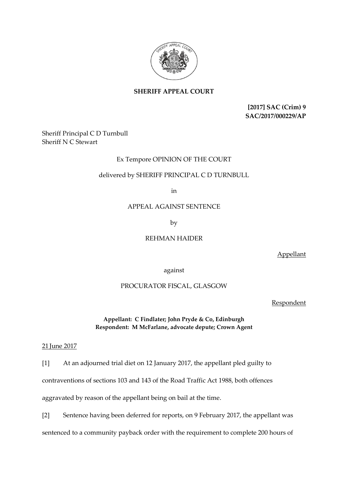

## **SHERIFF APPEAL COURT**

**[2017] SAC (Crim) 9 SAC/2017/000229/AP**

Sheriff Principal C D Turnbull Sheriff N C Stewart

## Ex Tempore OPINION OF THE COURT

## delivered by SHERIFF PRINCIPAL C D TURNBULL

in

### APPEAL AGAINST SENTENCE

by

## REHMAN HAIDER

Appellant

against

# PROCURATOR FISCAL, GLASGOW

Respondent

**Appellant: C Findlater; John Pryde & Co, Edinburgh Respondent: M McFarlane, advocate depute; Crown Agent**

#### 21 June 2017

[1] At an adjourned trial diet on 12 January 2017, the appellant pled guilty to

contraventions of sections 103 and 143 of the Road Traffic Act 1988, both offences

aggravated by reason of the appellant being on bail at the time.

[2] Sentence having been deferred for reports, on 9 February 2017, the appellant was

sentenced to a community payback order with the requirement to complete 200 hours of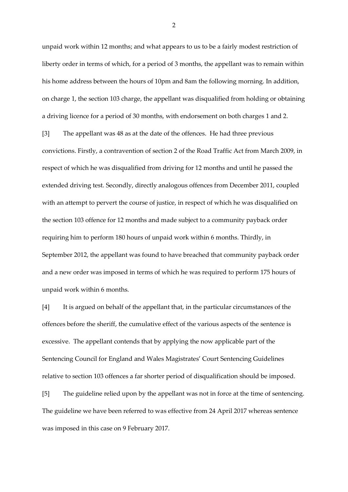unpaid work within 12 months; and what appears to us to be a fairly modest restriction of liberty order in terms of which, for a period of 3 months, the appellant was to remain within his home address between the hours of 10pm and 8am the following morning. In addition, on charge 1, the section 103 charge, the appellant was disqualified from holding or obtaining a driving licence for a period of 30 months, with endorsement on both charges 1 and 2.

[3] The appellant was 48 as at the date of the offences. He had three previous convictions. Firstly, a contravention of section 2 of the Road Traffic Act from March 2009, in respect of which he was disqualified from driving for 12 months and until he passed the extended driving test. Secondly, directly analogous offences from December 2011, coupled with an attempt to pervert the course of justice, in respect of which he was disqualified on the section 103 offence for 12 months and made subject to a community payback order requiring him to perform 180 hours of unpaid work within 6 months. Thirdly, in September 2012, the appellant was found to have breached that community payback order and a new order was imposed in terms of which he was required to perform 175 hours of unpaid work within 6 months.

[4] It is argued on behalf of the appellant that, in the particular circumstances of the offences before the sheriff, the cumulative effect of the various aspects of the sentence is excessive. The appellant contends that by applying the now applicable part of the Sentencing Council for England and Wales Magistrates' Court Sentencing Guidelines relative to section 103 offences a far shorter period of disqualification should be imposed.

[5] The guideline relied upon by the appellant was not in force at the time of sentencing. The guideline we have been referred to was effective from 24 April 2017 whereas sentence was imposed in this case on 9 February 2017.

2